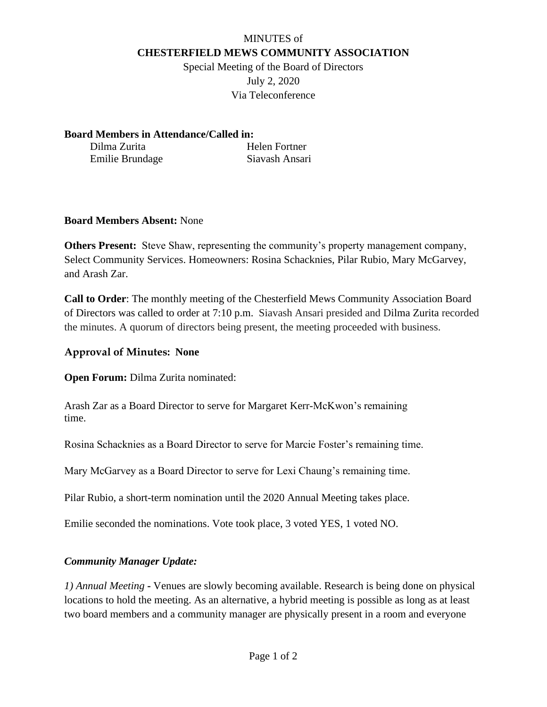## MINUTES of **CHESTERFIELD MEWS COMMUNITY ASSOCIATION**

Special Meeting of the Board of Directors July 2, 2020 Via Teleconference

**Board Members in Attendance/Called in:**

Dilma Zurita Helen Fortner Emilie Brundage Siavash Ansari

#### **Board Members Absent:** None

**Others Present:** Steve Shaw, representing the community's property management company, Select Community Services. Homeowners: Rosina Schacknies, Pilar Rubio, Mary McGarvey, and Arash Zar.

**Call to Order**: The monthly meeting of the Chesterfield Mews Community Association Board of Directors was called to order at 7:10 p.m. Siavash Ansari presided and Dilma Zurita recorded the minutes. A quorum of directors being present, the meeting proceeded with business.

## **Approval of Minutes: None**

**Open Forum:** Dilma Zurita nominated:

Arash Zar as a Board Director to serve for Margaret Kerr-McKwon's remaining time.

Rosina Schacknies as a Board Director to serve for Marcie Foster's remaining time.

Mary McGarvey as a Board Director to serve for Lexi Chaung's remaining time.

Pilar Rubio, a short-term nomination until the 2020 Annual Meeting takes place.

Emilie seconded the nominations. Vote took place, 3 voted YES, 1 voted NO.

# *Community Manager Update:*

*1) Annual Meeting* **-** Venues are slowly becoming available. Research is being done on physical locations to hold the meeting. As an alternative, a hybrid meeting is possible as long as at least two board members and a community manager are physically present in a room and everyone